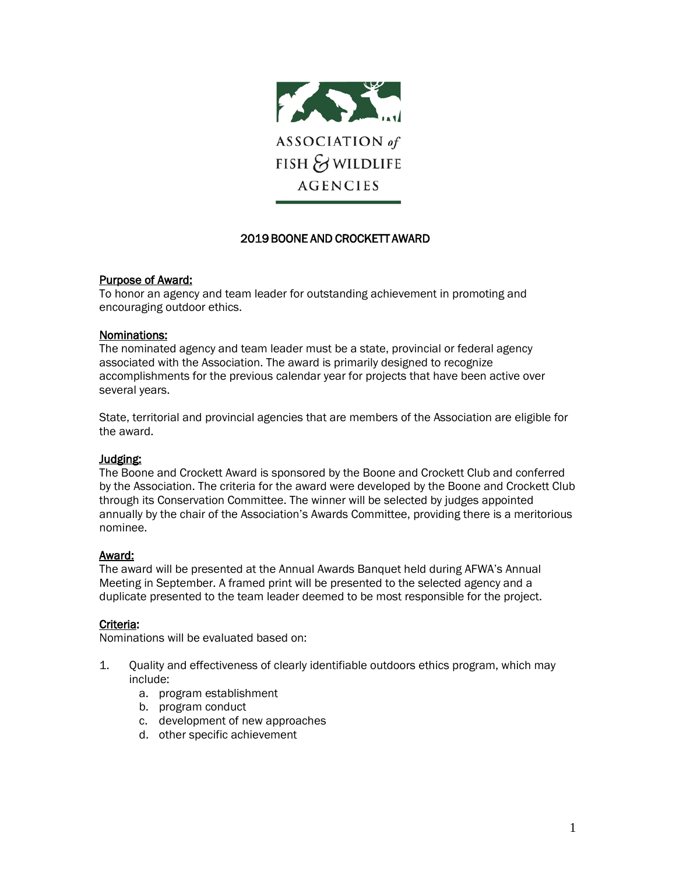

# 2019 BOONE AND CROCKETT AWARD

#### Purpose of Award:

To honor an agency and team leader for outstanding achievement in promoting and encouraging outdoor ethics.

#### Nominations:

The nominated agency and team leader must be a state, provincial or federal agency associated with the Association. The award is primarily designed to recognize accomplishments for the previous calendar year for projects that have been active over several years.

State, territorial and provincial agencies that are members of the Association are eligible for the award.

#### Judging:

The Boone and Crockett Award is sponsored by the Boone and Crockett Club and conferred by the Association. The criteria for the award were developed by the Boone and Crockett Club through its Conservation Committee. The winner will be selected by judges appointed annually by the chair of the Association's Awards Committee, providing there is a meritorious nominee.

#### Award:

The award will be presented at the Annual Awards Banquet held during AFWA's Annual Meeting in September. A framed print will be presented to the selected agency and a duplicate presented to the team leader deemed to be most responsible for the project.

## Criteria:

Nominations will be evaluated based on:

- 1. Quality and effectiveness of clearly identifiable outdoors ethics program, which may include:
	- a. program establishment
	- b. program conduct
	- c. development of new approaches
	- d. other specific achievement